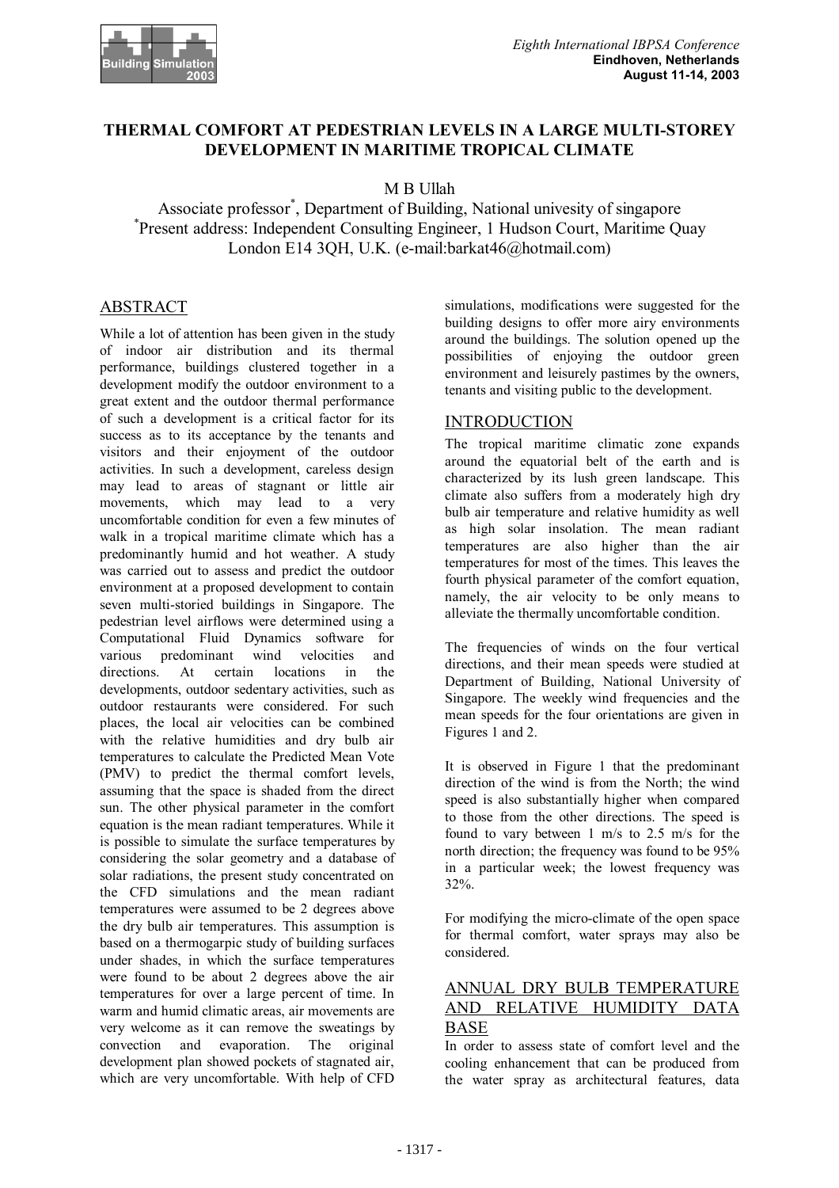## **THERMAL COMFORT AT PEDESTRIAN LEVELS IN A LARGE MULTI-STOREY DEVELOPMENT IN MARITIME TROPICAL CLIMATE**

## M B Ullah

Associate professor<sup>\*</sup>, Department of Building, National univesity of singapore<br><sup>\*</sup>Present address: Independent Consulting Engineer, 1 Hudson Court, Maritime Ov Present address: Independent Consulting Engineer, 1 Hudson Court, Maritime Quay London E14 3QH, U.K. (e-mail:barkat46@hotmail.com)

# **ABSTRACT**

While a lot of attention has been given in the study of indoor air distribution and its thermal performance, buildings clustered together in a development modify the outdoor environment to a great extent and the outdoor thermal performance of such a development is a critical factor for its success as to its acceptance by the tenants and visitors and their enjoyment of the outdoor activities. In such a development, careless design may lead to areas of stagnant or little air movements, which may lead to a very uncomfortable condition for even a few minutes of walk in a tropical maritime climate which has a predominantly humid and hot weather. A study was carried out to assess and predict the outdoor environment at a proposed development to contain seven multi-storied buildings in Singapore. The pedestrian level airflows were determined using a Computational Fluid Dynamics software for various predominant wind velocities and directions. At certain locations in the developments, outdoor sedentary activities, such as outdoor restaurants were considered. For such places, the local air velocities can be combined with the relative humidities and dry bulb air temperatures to calculate the Predicted Mean Vote (PMV) to predict the thermal comfort levels, assuming that the space is shaded from the direct sun. The other physical parameter in the comfort equation is the mean radiant temperatures. While it is possible to simulate the surface temperatures by considering the solar geometry and a database of solar radiations, the present study concentrated on the CFD simulations and the mean radiant temperatures were assumed to be 2 degrees above the dry bulb air temperatures. This assumption is based on a thermogarpic study of building surfaces under shades, in which the surface temperatures were found to be about 2 degrees above the air temperatures for over a large percent of time. In warm and humid climatic areas, air movements are very welcome as it can remove the sweatings by convection and evaporation. The original development plan showed pockets of stagnated air, which are very uncomfortable. With help of CFD

simulations, modifications were suggested for the building designs to offer more airy environments around the buildings. The solution opened up the possibilities of enjoying the outdoor green environment and leisurely pastimes by the owners, tenants and visiting public to the development.

#### **INTRODUCTION**

The tropical maritime climatic zone expands around the equatorial belt of the earth and is characterized by its lush green landscape. This climate also suffers from a moderately high dry bulb air temperature and relative humidity as well as high solar insolation. The mean radiant temperatures are also higher than the air temperatures for most of the times. This leaves the fourth physical parameter of the comfort equation. namely, the air velocity to be only means to alleviate the thermally uncomfortable condition.

The frequencies of winds on the four vertical directions, and their mean speeds were studied at Department of Building, National University of Singapore. The weekly wind frequencies and the mean speeds for the four orientations are given in Figures 1 and 2.

It is observed in Figure 1 that the predominant direction of the wind is from the North; the wind speed is also substantially higher when compared to those from the other directions. The speed is found to vary between 1 m/s to 2.5 m/s for the north direction; the frequency was found to be 95% in a particular week; the lowest frequency was 32%.

For modifying the micro-climate of the open space for thermal comfort, water sprays may also be considered.

## ANNUAL DRY BULB TEMPERATURE AND RELATIVE HUMIDITY DATA BASE

In order to assess state of comfort level and the cooling enhancement that can be produced from the water spray as architectural features, data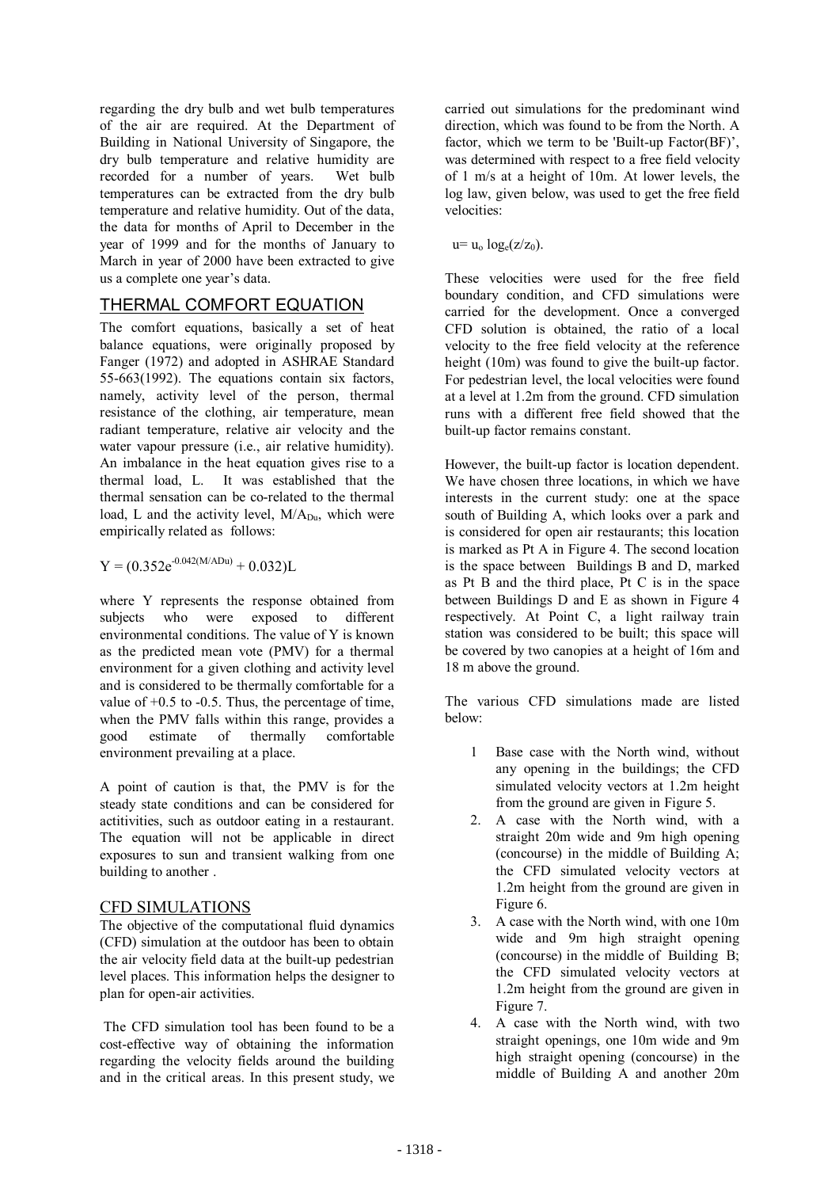regarding the dry bulb and wet bulb temperatures of the air are required. At the Department of Building in National University of Singapore, the dry bulb temperature and relative humidity are recorded for a number of years. Wet bulb temperatures can be extracted from the dry bulb temperature and relative humidity. Out of the data, the data for months of April to December in the year of 1999 and for the months of January to March in year of 2000 have been extracted to give us a complete one year's data.

## THERMAL COMFORT EQUATION

The comfort equations, basically a set of heat balance equations, were originally proposed by Fanger (1972) and adopted in ASHRAE Standard 55-663(1992). The equations contain six factors, namely, activity level of the person, thermal resistance of the clothing, air temperature, mean radiant temperature, relative air velocity and the water vapour pressure (i.e., air relative humidity). An imbalance in the heat equation gives rise to a thermal load, L. It was established that the thermal sensation can be co-related to the thermal load, L and the activity level,  $M/A_{Du}$ , which were empirically related as follows:

 $Y = (0.352e^{-0.042(M/ADu)} + 0.032)$ L

where Y represents the response obtained from subjects who were exposed to different environmental conditions. The value of Y is known as the predicted mean vote (PMV) for a thermal environment for a given clothing and activity level and is considered to be thermally comfortable for a value of  $+0.5$  to  $-0.5$ . Thus, the percentage of time, when the PMV falls within this range, provides a good estimate of thermally comfortable environment prevailing at a place.

A point of caution is that, the PMV is for the steady state conditions and can be considered for actitivities, such as outdoor eating in a restaurant. The equation will not be applicable in direct exposures to sun and transient walking from one building to another .

### CFD SIMULATIONS

The objective of the computational fluid dynamics (CFD) simulation at the outdoor has been to obtain the air velocity field data at the built-up pedestrian level places. This information helps the designer to plan for open-air activities.

 The CFD simulation tool has been found to be a cost-effective way of obtaining the information regarding the velocity fields around the building and in the critical areas. In this present study, we carried out simulations for the predominant wind direction, which was found to be from the North. A factor, which we term to be 'Built-up Factor(BF)', was determined with respect to a free field velocity of 1 m/s at a height of 10m. At lower levels, the log law, given below, was used to get the free field velocities:

 $u = u_0 \log_e(z/z_0)$ .

These velocities were used for the free field boundary condition, and CFD simulations were carried for the development. Once a converged CFD solution is obtained, the ratio of a local velocity to the free field velocity at the reference height (10m) was found to give the built-up factor. For pedestrian level, the local velocities were found at a level at 1.2m from the ground. CFD simulation runs with a different free field showed that the built-up factor remains constant.

However, the built-up factor is location dependent. We have chosen three locations, in which we have interests in the current study: one at the space south of Building A, which looks over a park and is considered for open air restaurants; this location is marked as Pt A in Figure 4. The second location is the space between Buildings B and D, marked as Pt B and the third place, Pt C is in the space between Buildings D and E as shown in Figure 4 respectively. At Point C, a light railway train station was considered to be built; this space will be covered by two canopies at a height of 16m and 18 m above the ground.

The various CFD simulations made are listed below:

- 1 Base case with the North wind, without any opening in the buildings; the CFD simulated velocity vectors at 1.2m height from the ground are given in Figure 5.
- 2. A case with the North wind, with a straight 20m wide and 9m high opening (concourse) in the middle of Building A; the CFD simulated velocity vectors at 1.2m height from the ground are given in Figure 6.
- 3. A case with the North wind, with one 10m wide and 9m high straight opening (concourse) in the middle of Building B; the CFD simulated velocity vectors at 1.2m height from the ground are given in Figure 7.
- 4. A case with the North wind, with two straight openings, one 10m wide and 9m high straight opening (concourse) in the middle of Building A and another 20m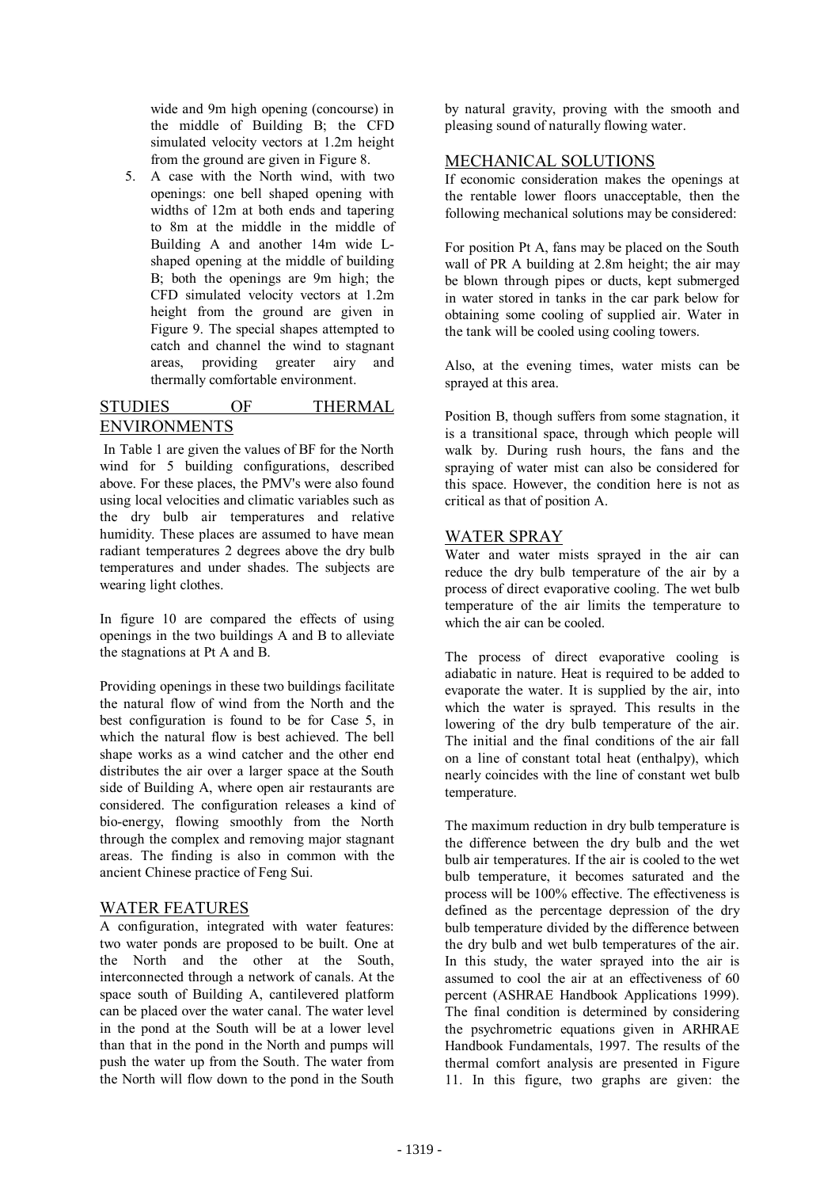wide and 9m high opening (concourse) in the middle of Building B; the CFD simulated velocity vectors at 1.2m height from the ground are given in Figure 8.

5. A case with the North wind, with two openings: one bell shaped opening with widths of 12m at both ends and tapering to 8m at the middle in the middle of Building A and another 14m wide Lshaped opening at the middle of building B; both the openings are 9m high; the CFD simulated velocity vectors at 1.2m height from the ground are given in Figure 9. The special shapes attempted to catch and channel the wind to stagnant areas, providing greater airy and thermally comfortable environment.

## STUDIES OF THERMAL ENVIRONMENTS

 In Table 1 are given the values of BF for the North wind for 5 building configurations, described above. For these places, the PMV's were also found using local velocities and climatic variables such as the dry bulb air temperatures and relative humidity. These places are assumed to have mean radiant temperatures 2 degrees above the dry bulb temperatures and under shades. The subjects are wearing light clothes.

In figure 10 are compared the effects of using openings in the two buildings A and B to alleviate the stagnations at Pt A and B.

Providing openings in these two buildings facilitate the natural flow of wind from the North and the best configuration is found to be for Case 5, in which the natural flow is best achieved. The bell shape works as a wind catcher and the other end distributes the air over a larger space at the South side of Building A, where open air restaurants are considered. The configuration releases a kind of bio-energy, flowing smoothly from the North through the complex and removing major stagnant areas. The finding is also in common with the ancient Chinese practice of Feng Sui.

### WATER FEATURES

A configuration, integrated with water features: two water ponds are proposed to be built. One at the North and the other at the South, interconnected through a network of canals. At the space south of Building A, cantilevered platform can be placed over the water canal. The water level in the pond at the South will be at a lower level than that in the pond in the North and pumps will push the water up from the South. The water from the North will flow down to the pond in the South

by natural gravity, proving with the smooth and pleasing sound of naturally flowing water.

### MECHANICAL SOLUTIONS

If economic consideration makes the openings at the rentable lower floors unacceptable, then the following mechanical solutions may be considered:

For position Pt A, fans may be placed on the South wall of PR A building at 2.8m height; the air may be blown through pipes or ducts, kept submerged in water stored in tanks in the car park below for obtaining some cooling of supplied air. Water in the tank will be cooled using cooling towers.

Also, at the evening times, water mists can be sprayed at this area.

Position B, though suffers from some stagnation, it is a transitional space, through which people will walk by. During rush hours, the fans and the spraying of water mist can also be considered for this space. However, the condition here is not as critical as that of position A.

### WATER SPRAY

Water and water mists sprayed in the air can reduce the dry bulb temperature of the air by a process of direct evaporative cooling. The wet bulb temperature of the air limits the temperature to which the air can be cooled.

The process of direct evaporative cooling is adiabatic in nature. Heat is required to be added to evaporate the water. It is supplied by the air, into which the water is sprayed. This results in the lowering of the dry bulb temperature of the air. The initial and the final conditions of the air fall on a line of constant total heat (enthalpy), which nearly coincides with the line of constant wet bulb temperature.

The maximum reduction in dry bulb temperature is the difference between the dry bulb and the wet bulb air temperatures. If the air is cooled to the wet bulb temperature, it becomes saturated and the process will be 100% effective. The effectiveness is defined as the percentage depression of the dry bulb temperature divided by the difference between the dry bulb and wet bulb temperatures of the air. In this study, the water sprayed into the air is assumed to cool the air at an effectiveness of 60 percent (ASHRAE Handbook Applications 1999). The final condition is determined by considering the psychrometric equations given in ARHRAE Handbook Fundamentals, 1997. The results of the thermal comfort analysis are presented in Figure 11. In this figure, two graphs are given: the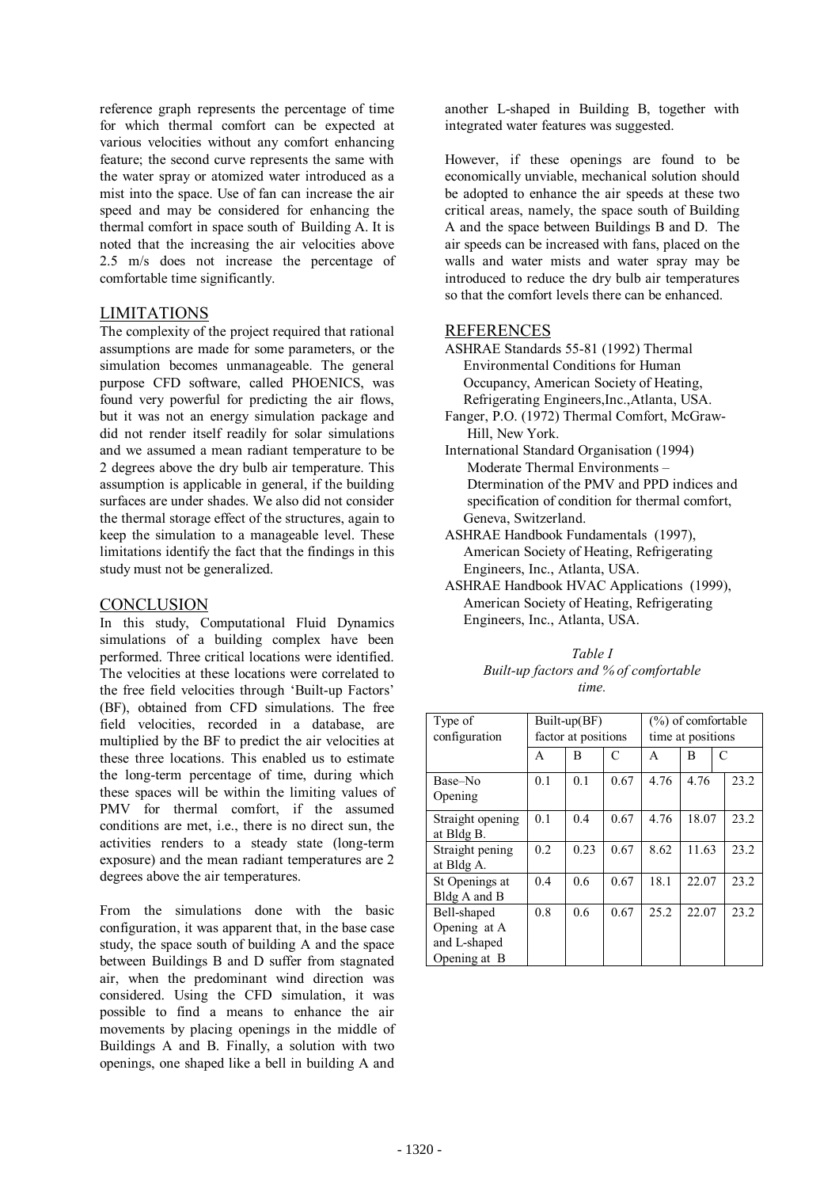reference graph represents the percentage of time for which thermal comfort can be expected at various velocities without any comfort enhancing feature; the second curve represents the same with the water spray or atomized water introduced as a mist into the space. Use of fan can increase the air speed and may be considered for enhancing the thermal comfort in space south of Building A. It is noted that the increasing the air velocities above 2.5 m/s does not increase the percentage of comfortable time significantly.

#### LIMITATIONS

The complexity of the project required that rational assumptions are made for some parameters, or the simulation becomes unmanageable. The general purpose CFD software, called PHOENICS, was found very powerful for predicting the air flows, but it was not an energy simulation package and did not render itself readily for solar simulations and we assumed a mean radiant temperature to be 2 degrees above the dry bulb air temperature. This assumption is applicable in general, if the building surfaces are under shades. We also did not consider the thermal storage effect of the structures, again to keep the simulation to a manageable level. These limitations identify the fact that the findings in this study must not be generalized.

#### **CONCLUSION**

In this study, Computational Fluid Dynamics simulations of a building complex have been performed. Three critical locations were identified. The velocities at these locations were correlated to the free field velocities through 'Built-up Factors' (BF), obtained from CFD simulations. The free field velocities, recorded in a database, are multiplied by the BF to predict the air velocities at these three locations. This enabled us to estimate the long-term percentage of time, during which these spaces will be within the limiting values of PMV for thermal comfort, if the assumed conditions are met, i.e., there is no direct sun, the activities renders to a steady state (long-term exposure) and the mean radiant temperatures are 2 degrees above the air temperatures.

From the simulations done with the basic configuration, it was apparent that, in the base case study, the space south of building A and the space between Buildings B and D suffer from stagnated air, when the predominant wind direction was considered. Using the CFD simulation, it was possible to find a means to enhance the air movements by placing openings in the middle of Buildings A and B. Finally, a solution with two openings, one shaped like a bell in building A and

another L-shaped in Building B, together with integrated water features was suggested.

However, if these openings are found to be economically unviable, mechanical solution should be adopted to enhance the air speeds at these two critical areas, namely, the space south of Building A and the space between Buildings B and D. The air speeds can be increased with fans, placed on the walls and water mists and water spray may be introduced to reduce the dry bulb air temperatures so that the comfort levels there can be enhanced.

#### REFERENCES

- ASHRAE Standards 55-81 (1992) Thermal Environmental Conditions for Human Occupancy, American Society of Heating, Refrigerating Engineers,Inc.,Atlanta, USA.
- Fanger, P.O. (1972) Thermal Comfort, McGraw- Hill, New York.
- International Standard Organisation (1994) Moderate Thermal Environments – Dtermination of the PMV and PPD indices and specification of condition for thermal comfort, Geneva, Switzerland.
- ASHRAE Handbook Fundamentals (1997), American Society of Heating, Refrigerating Engineers, Inc., Atlanta, USA.
- ASHRAE Handbook HVAC Applications (1999), American Society of Heating, Refrigerating Engineers, Inc., Atlanta, USA.

*Table I Built-up factors and % of comfortable time.* 

| Type of<br>configuration                                    | Built-up(BF)<br>factor at positions |      |      | $(\%)$ of comfortable<br>time at positions |       |      |
|-------------------------------------------------------------|-------------------------------------|------|------|--------------------------------------------|-------|------|
|                                                             | A                                   | B    | C    | A                                          | B     | C    |
| Base–No<br>Opening                                          | 0.1                                 | 0.1  | 0.67 | 4.76                                       | 4.76  | 23.2 |
| Straight opening<br>at Bldg B.                              | 0.1                                 | 0.4  | 0.67 | 4.76                                       | 18.07 | 23.2 |
| Straight pening<br>at Bldg A.                               | 0.2                                 | 0.23 | 0.67 | 8.62                                       | 11.63 | 23.2 |
| St Openings at<br>Bldg A and B                              | 0.4                                 | 0.6  | 0.67 | 18.1                                       | 22.07 | 23.2 |
| Bell-shaped<br>Opening at A<br>and L-shaped<br>Opening at B | 0.8                                 | 0.6  | 0.67 | 25.2                                       | 22.07 | 23.2 |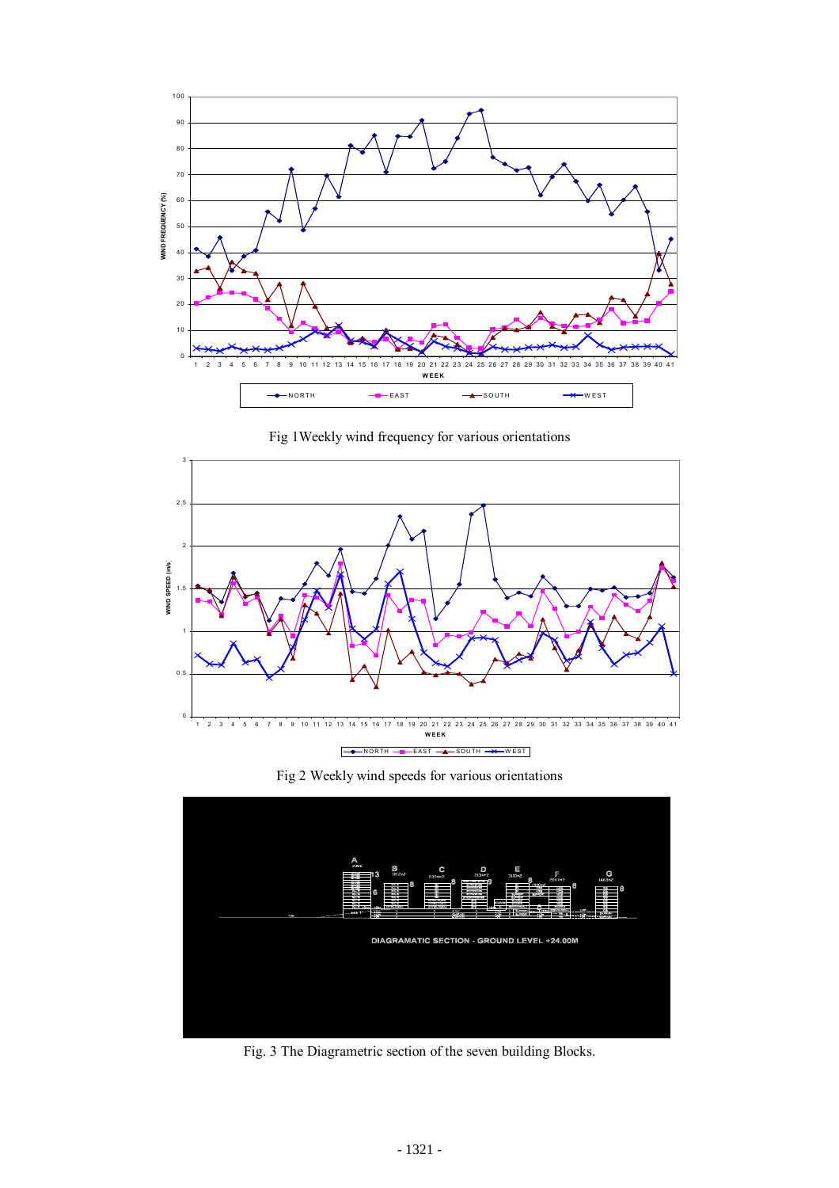

Fig 1Weekly wind frequency for various orientations



Fig 2 Weekly wind speeds for various orientations



Fig. 3 The Diagrametric section of the seven building Blocks.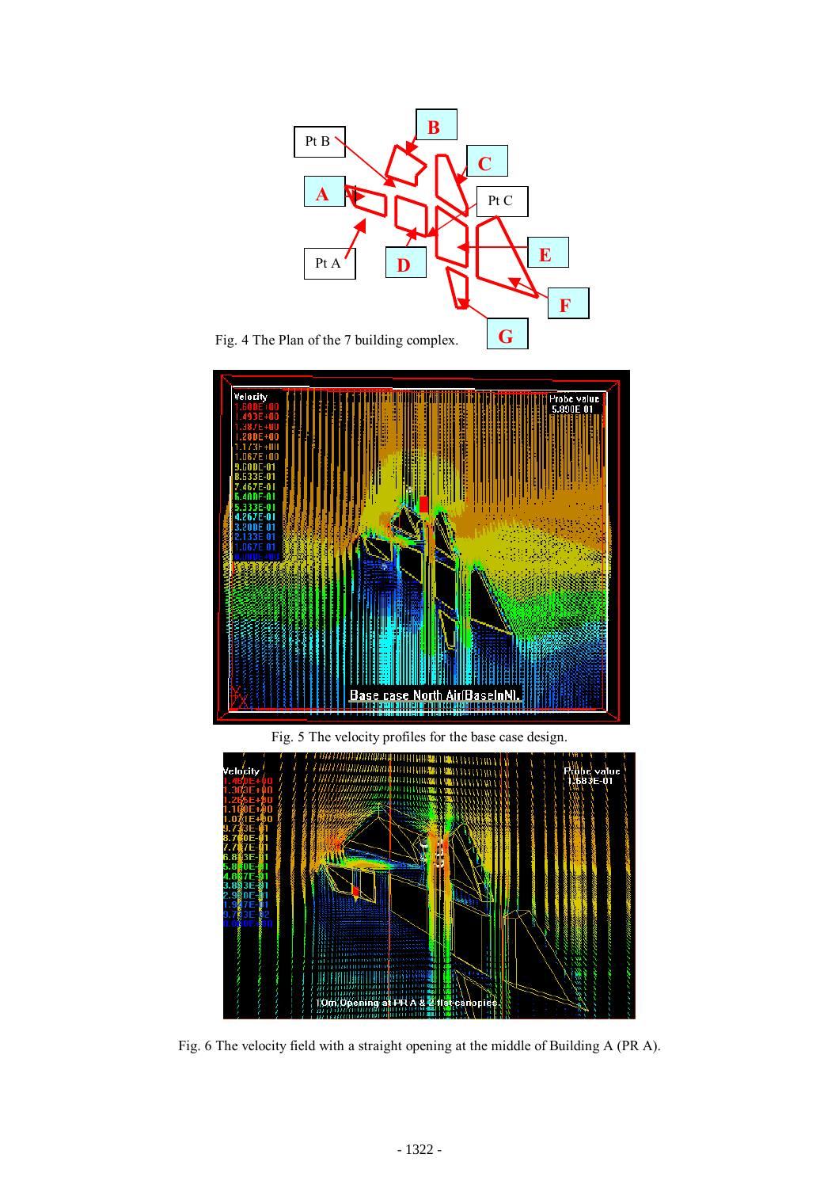

Fig. 6 The velocity field with a straight opening at the middle of Building A (PR A).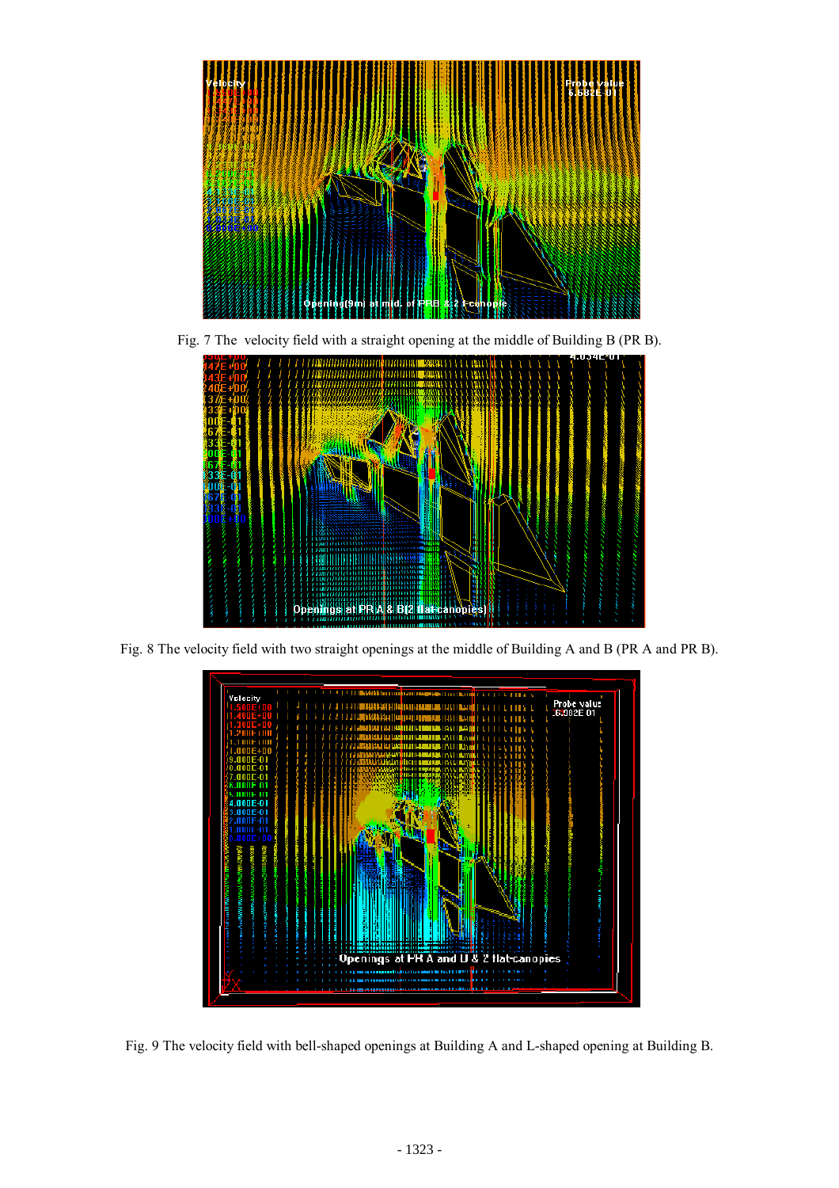

Fig. 7 The velocity field with a straight opening at the middle of Building B (PR B).



Fig. 8 The velocity field with two straight openings at the middle of Building A and B (PR A and PR B).



Fig. 9 The velocity field with bell-shaped openings at Building A and L-shaped opening at Building B.